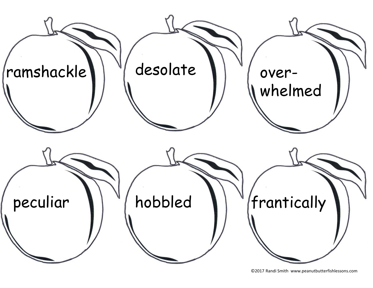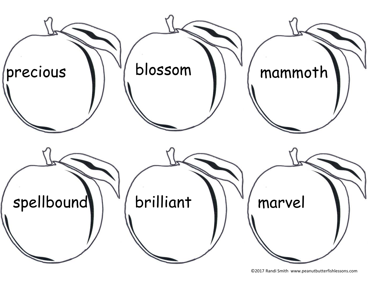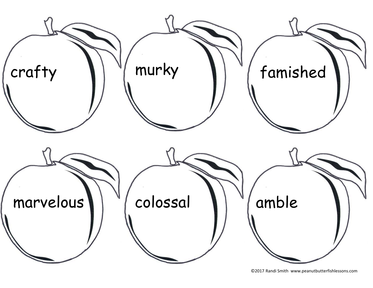![](_page_2_Picture_0.jpeg)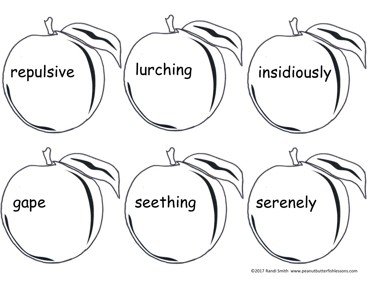![](_page_3_Picture_0.jpeg)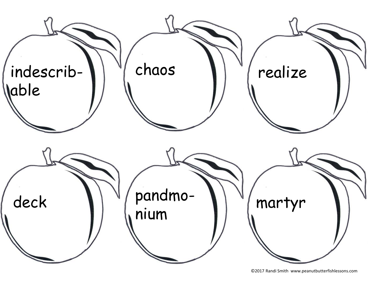![](_page_4_Picture_0.jpeg)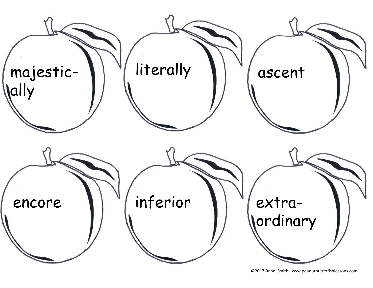![](_page_5_Picture_0.jpeg)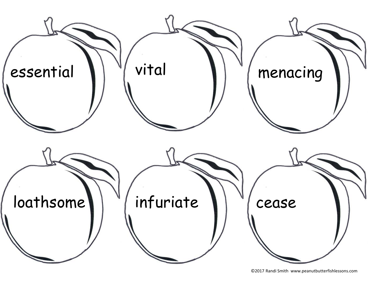![](_page_6_Picture_0.jpeg)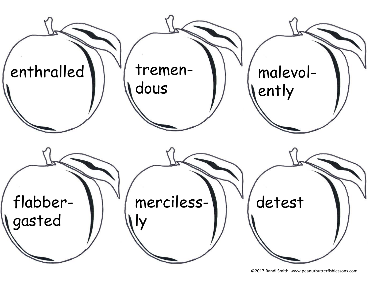![](_page_7_Picture_0.jpeg)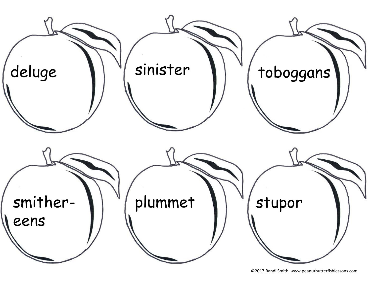![](_page_8_Picture_0.jpeg)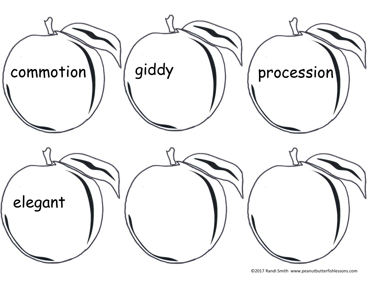![](_page_9_Picture_0.jpeg)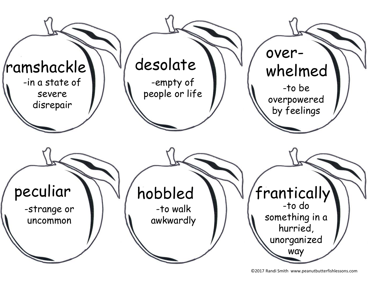![](_page_10_Picture_0.jpeg)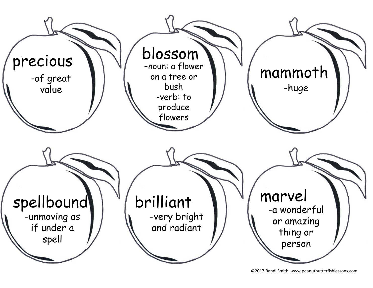![](_page_11_Picture_0.jpeg)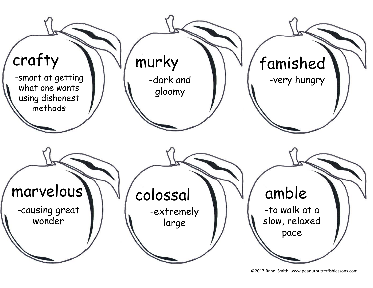![](_page_12_Picture_0.jpeg)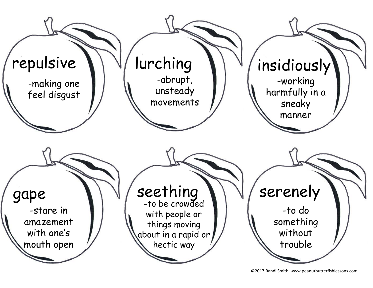![](_page_13_Picture_0.jpeg)

<sup>©2017</sup> Randi Smith www.peanutbutterfishlessons.com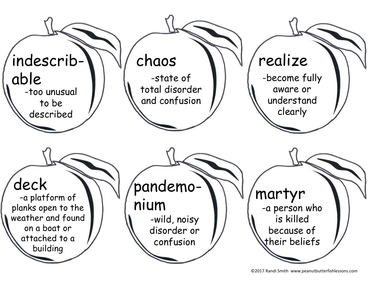![](_page_14_Picture_0.jpeg)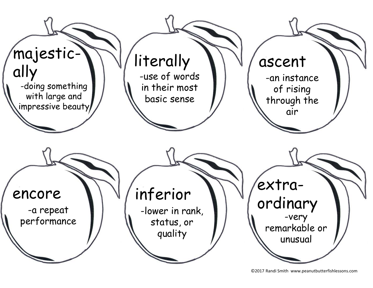![](_page_15_Picture_0.jpeg)

<sup>©2017</sup> Randi Smith www.peanutbutterfishlessons.com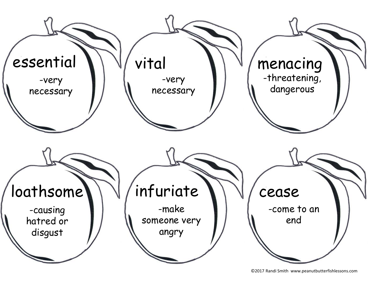![](_page_16_Picture_0.jpeg)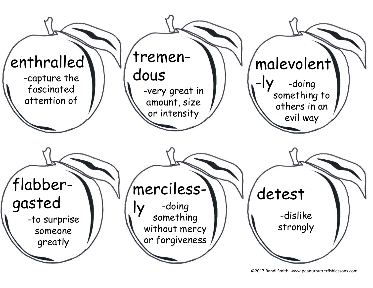![](_page_17_Picture_0.jpeg)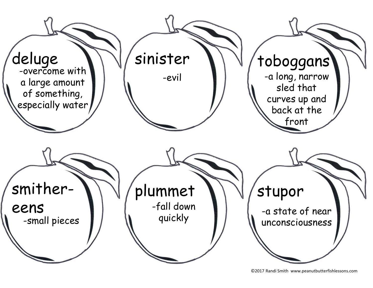![](_page_18_Picture_0.jpeg)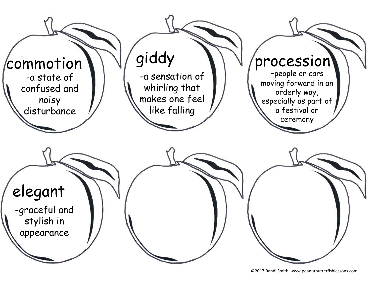![](_page_19_Picture_0.jpeg)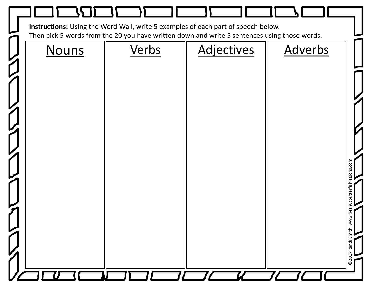![](_page_20_Picture_0.jpeg)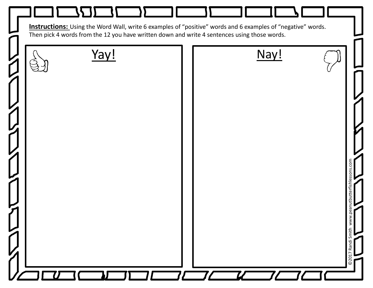![](_page_21_Picture_0.jpeg)